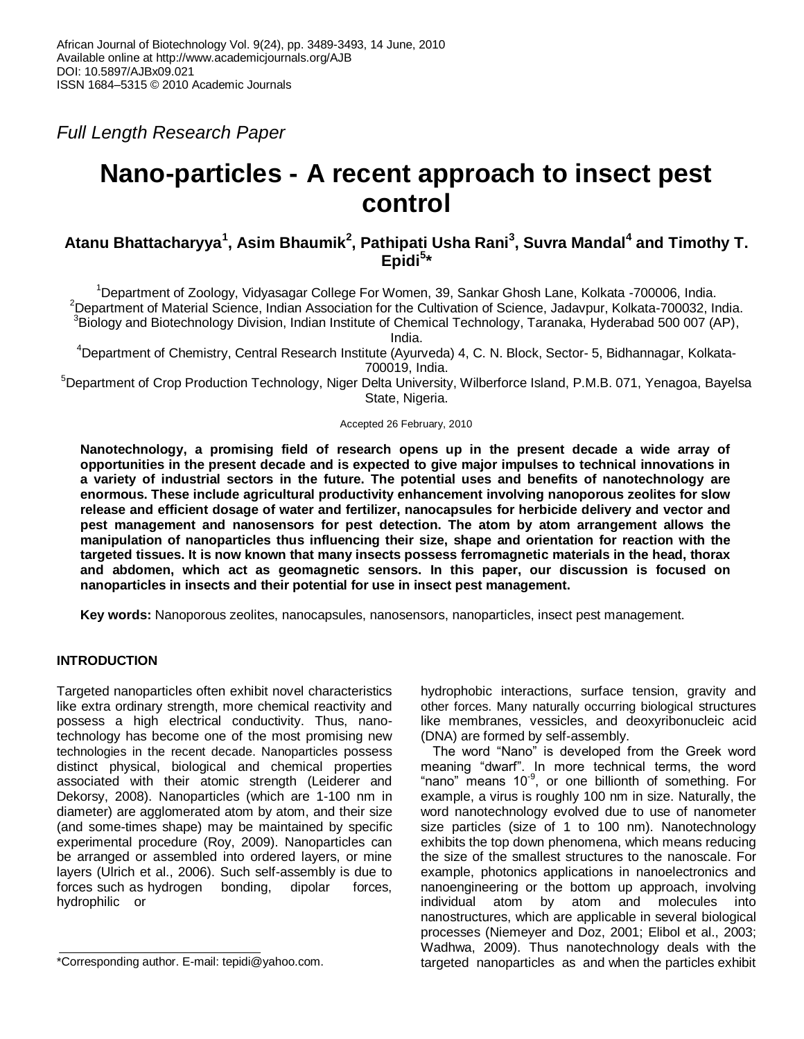*Full Length Research Paper*

# **Nano-particles - A recent approach to insect pest control**

## **Atanu Bhattacharyya<sup>1</sup> , Asim Bhaumik<sup>2</sup> , Pathipati Usha Rani<sup>3</sup> , Suvra Mandal<sup>4</sup> and Timothy T. Epidi<sup>5</sup> \***

<sup>1</sup>Department of Zoology, Vidyasagar College For Women, 39, Sankar Ghosh Lane, Kolkata -700006, India. <sup>2</sup>Department of Material Science, Indian Association for the Cultivation of Science, Jadavpur, Kolkata-700032, India. <sup>3</sup>Biology and Biotechnology Division, Indian Institute of Chemical Technology, Taranaka, Hyderabad 500 007 (AP), India.

<sup>4</sup>Department of Chemistry, Central Research Institute (Ayurveda) 4, C. N. Block, Sector- 5, Bidhannagar, Kolkata-700019, India.

<sup>5</sup>Department of Crop Production Technology, Niger Delta University, Wilberforce Island, P.M.B. 071, Yenagoa, Bayelsa State, Nigeria.

#### Accepted 26 February, 2010

**Nanotechnology, a promising field of research opens up in the present decade a wide array of opportunities in the present decade and is expected to give major impulses to technical innovations in a variety of industrial sectors in the future. The potential uses and benefits of nanotechnology are enormous. These include agricultural productivity enhancement involving nanoporous zeolites for slow release and efficient dosage of water and fertilizer, nanocapsules for herbicide delivery and vector and pest management and nanosensors for pest detection. The atom by atom arrangement allows the manipulation of nanoparticles thus influencing their size, shape and orientation for reaction with the targeted tissues. It is now known that many insects possess ferromagnetic materials in the head, thorax and abdomen, which act as geomagnetic sensors. In this paper, our discussion is focused on nanoparticles in insects and their potential for use in insect pest management.**

**Key words:** Nanoporous zeolites, nanocapsules, nanosensors, nanoparticles, insect pest management.

#### **INTRODUCTION**

Targeted nanoparticles often exhibit novel characteristics like extra ordinary strength, more chemical reactivity and possess a high electrical conductivity. Thus, nanotechnology has become one of the most promising new technologies in the recent decade. Nanoparticles possess distinct physical, biological and chemical properties associated with their atomic strength (Leiderer and Dekorsy, 2008). Nanoparticles (which are 1-100 nm in diameter) are agglomerated atom by atom, and their size (and some-times shape) may be maintained by specific experimental procedure (Roy, 2009). Nanoparticles can be arranged or assembled into ordered layers, or mine layers (Ulrich et al., 2006). Such self-assembly is due to forces such as hydrogen bonding, dipolar forces, hydrophilic or

hydrophobic interactions, surface tension, gravity and other forces. Many naturally occurring biological structures like membranes, vessicles, and deoxyribonucleic acid (DNA) are formed by self-assembly.

The word "Nano" is developed from the Greek word meaning "dwarf". In more technical terms, the word "nano" means 10<sup>-9</sup>, or one billionth of something. For example, a virus is roughly 100 nm in size. Naturally, the word nanotechnology evolved due to use of nanometer size particles (size of 1 to 100 nm). Nanotechnology exhibits the top down phenomena, which means reducing the size of the smallest structures to the nanoscale. For example, photonics applications in nanoelectronics and nanoengineering or the bottom up approach, involving individual atom by atom and molecules into nanostructures, which are applicable in several biological processes (Niemeyer and Doz, 2001; [Elibol](http://scitation.aip.org/vsearch/servlet/VerityServlet?KEY=ALL&possible1=Elibol%2C+O.+H.&possible1zone=author&maxdisp=25&smode=strresults&aqs=true) et al., 2003; Wadhwa, 2009). Thus nanotechnology deals with the targeted nanoparticles as and when the particles exhibit

<sup>\*</sup>Corresponding author. E-mail: tepidi@yahoo.com.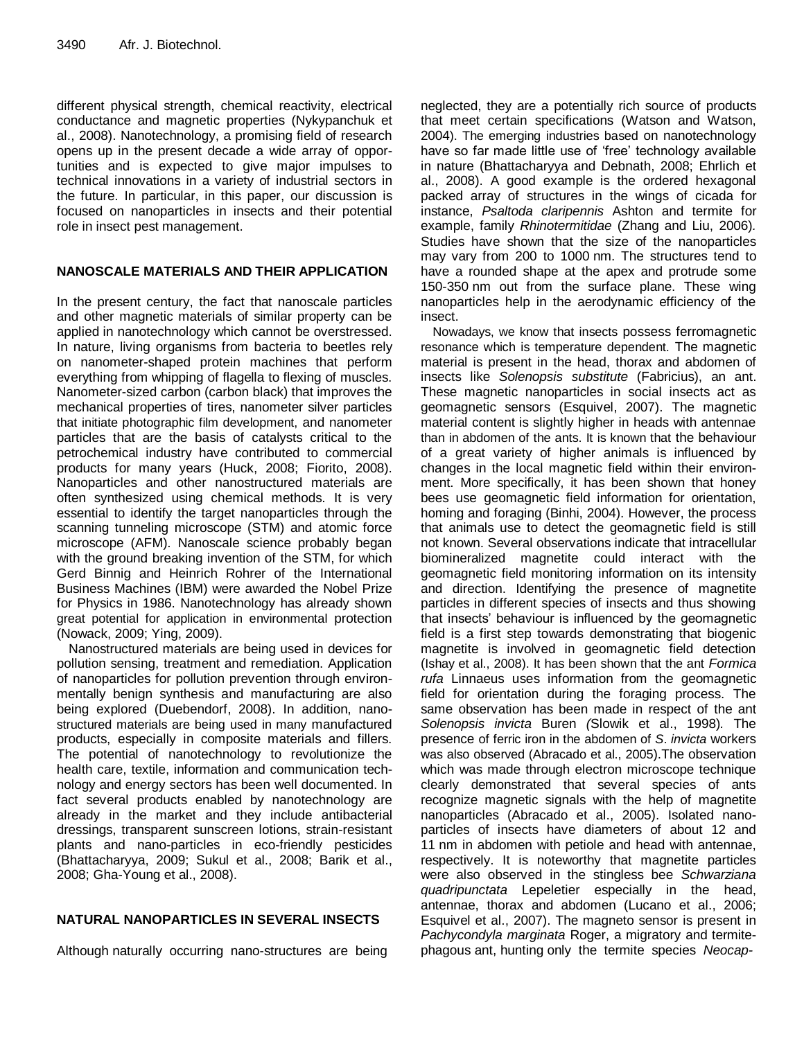different physical strength, chemical reactivity, electrical conductance and magnetic properties (Nykypanchuk et al., 2008). Nanotechnology, a promising field of research opens up in the present decade a wide array of opportunities and is expected to give major impulses to technical innovations in a variety of industrial sectors in the future. In particular, in this paper, our discussion is focused on nanoparticles in insects and their potential role in insect pest management.

## **NANOSCALE MATERIALS AND THEIR APPLICATION**

In the present century, the fact that nanoscale particles and other magnetic materials of similar property can be applied in nanotechnology which cannot be overstressed. In nature, living organisms from bacteria to beetles rely on nanometer-shaped protein machines that perform everything from whipping of flagella to flexing of muscles. Nanometer-sized carbon (carbon black) that improves the mechanical properties of tires, nanometer silver particles that initiate photographic film development, and nanometer particles that are the basis of catalysts critical to the petrochemical industry have contributed to commercial products for many years (Huck, 2008; Fiorito, 2008). Nanoparticles and other nanostructured materials are often synthesized using chemical methods. It is very essential to identify the target nanoparticles through the scanning tunneling microscope (STM) and atomic force microscope (AFM). Nanoscale science probably began with the ground breaking invention of the STM, for which Gerd Binnig and Heinrich Rohrer of the International Business Machines (IBM) were awarded the Nobel Prize for Physics in 1986. Nanotechnology has already shown great potential for application in environmental protection (Nowack, 2009; Ying, 2009).

Nanostructured materials are being used in devices for pollution sensing, treatment and remediation. Application of nanoparticles for pollution prevention through environmentally benign synthesis and manufacturing are also being explored (Duebendorf, 2008). In addition, nanostructured materials are being used in many manufactured products, especially in composite materials and fillers. The potential of nanotechnology to revolutionize the health care, textile, information and communication technology and energy sectors has been well documented. In fact several products enabled by nanotechnology are already in the market and they include antibacterial dressings, transparent sunscreen lotions, strain-resistant plants and nano-particles in eco-friendly pesticides (Bhattacharyya, 2009; Sukul et al., 2008; Barik et al., 2008; Gha-Young et al., 2008).

#### **NATURAL NANOPARTICLES IN SEVERAL INSECTS**

Although naturally occurring nano-structures are being

neglected, they are a potentially rich source of products that meet certain specifications (Watson and Watson, 2004). The emerging industries based on nanotechnology have so far made little use of 'free' technology available in nature (Bhattacharyya and Debnath, 2008; Ehrlich et al., 2008). A good example is the ordered hexagonal packed array of structures in the wings of cicada for instance, *Psaltoda claripennis* Ashton and termite for example, family *Rhinotermitidae* (Zhang and Liu, 2006)*.*  Studies have shown that the size of the nanoparticles may vary from 200 to 1000 nm. The structures tend to have a rounded shape at the apex and protrude some 150-350 nm out from the surface plane. These wing nanoparticles help in the aerodynamic efficiency of the insect.

Nowadays, we know that insects possess ferromagnetic resonance which is temperature dependent. The magnetic material is present in the head, thorax and abdomen of insects like *Solenopsis substitute* (Fabricius), an ant. These magnetic nanoparticles in social insects act as geomagnetic sensors (Esquivel, 2007). The magnetic material content is slightly higher in heads with antennae than in abdomen of the ants. It is known that the behaviour of a great variety of higher animals is influenced by changes in the local magnetic field within their environment. More specifically, it has been shown that honey bees use geomagnetic field information for orientation, homing and foraging (Binhi, 2004). However, the process that animals use to detect the geomagnetic field is still not known. Several observations indicate that intracellular biomineralized magnetite could interact with the geomagnetic field monitoring information on its intensity and direction. Identifying the presence of magnetite particles in different species of insects and thus showing that insects' behaviour is influenced by the geomagnetic field is a first step towards demonstrating that biogenic magnetite is involved in geomagnetic field detection (Ishay et al., 2008). It has been shown that the ant *Formica rufa* Linnaeus uses information from the geomagnetic field for orientation during the foraging process. The same observation has been made in respect of the ant *Solenopsis invicta* Buren *(*Slowik et al., 1998)*.* The presence of ferric iron in the abdomen of *S*. *invicta* workers was also observed (Abracado et al., 2005).The observation which was made through electron microscope technique clearly demonstrated that several species of ants recognize magnetic signals with the help of magnetite nanoparticles (Abracado et al., 2005). Isolated nanoparticles of insects have diameters of about 12 and 11 nm in abdomen with petiole and head with antennae, respectively. It is noteworthy that magnetite particles were also observed in the stingless bee *Schwarziana quadripunctata* Lepeletier especially in the head, antennae, thorax and abdomen (Lucano et al., 2006; Esquivel et al., 2007). The magneto sensor is present in *Pachycondyla marginata* Roger, a migratory and termitephagous ant, hunting only the termite species *Neocap-*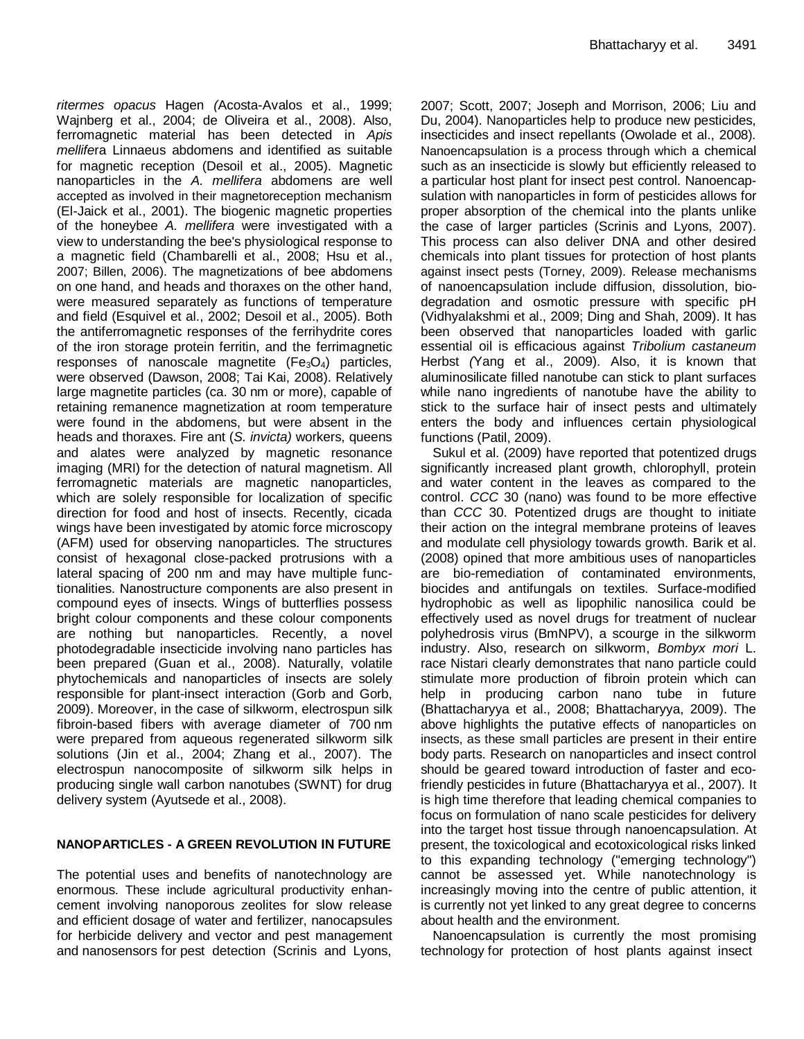*ritermes opacus* Hagen *(*Acosta-Avalos et al., 1999; Wajnberg et al., 2004; de Oliveira et al., 2008). Also, ferromagnetic material has been detected in *Apis mellife*ra Linnaeus abdomens and identified as suitable for magnetic reception (Desoil et al., 2005). Magnetic nanoparticles in the *A. mellifera* abdomens are well accepted as involved in their magnetoreception mechanism (El-Jaick et al., 2001). The biogenic magnetic properties of the honeybee *A. mellifera* were investigated with a view to understanding the bee's physiological response to a magnetic field (Chambarelli et al., 2008; Hsu et al., 2007; Billen, 2006). The magnetizations of bee abdomens on one hand, and heads and thoraxes on the other hand, were measured separately as functions of temperature and field (Esquivel et al., 2002; Desoil et al., 2005). Both the antiferromagnetic responses of the ferrihydrite cores of the iron storage protein ferritin, and the ferrimagnetic responses of nanoscale magnetite ( $Fe<sub>3</sub>O<sub>4</sub>$ ) particles, were observed (Dawson, 2008; Tai Kai, 2008). Relatively large magnetite particles (ca. 30 nm or more), capable of retaining remanence magnetization at room temperature were found in the abdomens, but were absent in the heads and thoraxes. Fire ant (*S. invicta)* workers, queens and alates were analyzed by magnetic resonance imaging (MRI) for the detection of natural magnetism. All ferromagnetic materials are magnetic nanoparticles, which are solely responsible for localization of specific direction for food and host of insects. Recently, cicada wings have been investigated by atomic force microscopy (AFM) used for observing nanoparticles. The structures consist of hexagonal close-packed protrusions with a lateral spacing of 200 nm and may have multiple functionalities. Nanostructure components are also present in compound eyes of insects. Wings of butterflies possess bright colour components and these colour components are nothing but nanoparticles. Recently, a novel photodegradable insecticide involving nano particles has been prepared (Guan et al., 2008). Naturally, volatile phytochemicals and nanoparticles of insects are solely responsible for plant-insect interaction (Gorb and Gorb, 2009). Moreover, in the case of silkworm, electrospun silk fibroin-based fibers with average diameter of 700 nm were prepared from aqueous regenerated silkworm silk solutions (Jin et al., 2004; Zhang et al., 2007). The electrospun nanocomposite of silkworm silk helps in producing single wall carbon nanotubes (SWNT) for drug delivery system (Ayutsede et al., 2008).

### **NANOPARTICLES - A GREEN REVOLUTION IN FUTURE**

The potential uses and benefits of nanotechnology are enormous. These include agricultural productivity enhancement involving nanoporous zeolites for slow release and efficient dosage of water and fertilizer, nanocapsules for herbicide delivery and vector and pest management and nanosensors for pest detection (Scrinis and Lyons, 2007; Scott, 2007; Joseph and Morrison, 2006; Liu and Du, 2004). Nanoparticles help to produce new pesticides, insecticides and insect repellants (Owolade et al., 2008)*.* Nanoencapsulation is a process through which a chemical such as an insecticide is slowly but efficiently released to a particular host plant for insect pest control. Nanoencapsulation with nanoparticles in form of pesticides allows for proper absorption of the chemical into the plants unlike the case of larger particles (Scrinis and Lyons, 2007). This process can also deliver DNA and other desired chemicals into plant tissues for protection of host plants against insect pests (Torney, 2009). Release mechanisms of nanoencapsulation include diffusion, dissolution, biodegradation and osmotic pressure with specific pH (Vidhyalakshmi et al., 2009; Ding and Shah, 2009). It has been observed that nanoparticles loaded with garlic essential oil is efficacious against *Tribolium castaneum* Herbst *(*Yang et al., 2009). Also, it is known that aluminosilicate filled nanotube can stick to plant surfaces while nano ingredients of nanotube have the ability to stick to the surface hair of insect pests and ultimately enters the body and influences certain physiological functions (Patil, 2009).

Sukul et al. (2009) have reported that potentized drugs significantly increased plant growth, chlorophyll, protein and water content in the leaves as compared to the control. *CCC* 30 (nano) was found to be more effective than *CCC* 30. Potentized drugs are thought to initiate their action on the integral membrane proteins of leaves and modulate cell physiology towards growth. Barik et al. (2008) opined that more ambitious uses of nanoparticles are bio-remediation of contaminated environments, biocides and antifungals on textiles. Surface-modified hydrophobic as well as lipophilic nanosilica could be effectively used as novel drugs for treatment of nuclear polyhedrosis virus (BmNPV), a scourge in the silkworm industry. Also, research on silkworm, *Bombyx mori* L. race Nistari clearly demonstrates that nano particle could stimulate more production of fibroin protein which can help in producing carbon nano tube in future (Bhattacharyya et al., 2008; Bhattacharyya, 2009). The above highlights the putative effects of nanoparticles on insects, as these small particles are present in their entire body parts. Research on nanoparticles and insect control should be geared toward introduction of faster and ecofriendly pesticides in future (Bhattacharyya et al., 2007). It is high time therefore that leading chemical companies to focus on formulation of nano scale pesticides for delivery into the target host tissue through nanoencapsulation. At present, the toxicological and ecotoxicological risks linked to this expanding technology ("emerging technology") cannot be assessed yet. While nanotechnology is increasingly moving into the centre of public attention, it is currently not yet linked to any great degree to concerns about health and the environment.

Nanoencapsulation is currently the most promising technology for protection of host plants against insect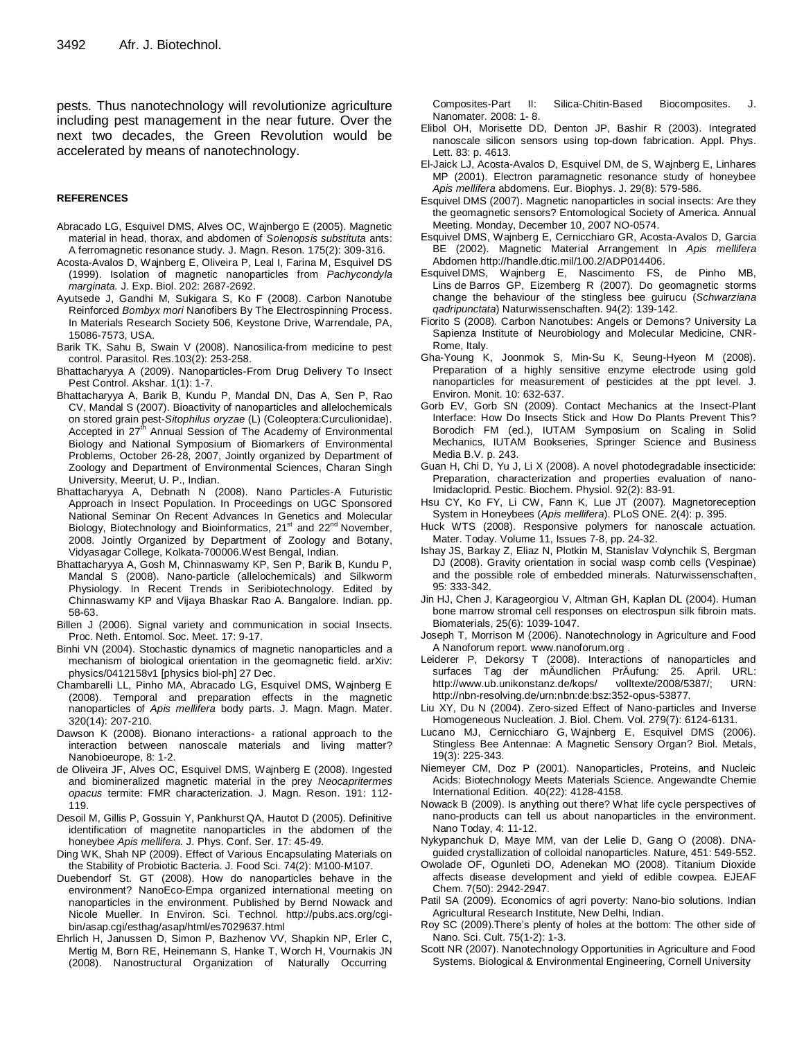pests. Thus nanotechnology will revolutionize agriculture including pest management in the near future. Over the next two decades, the Green Revolution would be accelerated by means of nanotechnology.

#### **REFERENCES**

- Abracado LG, Esquivel DMS, Alves OC, Wajnbergo E (2005). Magnetic material in head, thorax, and abdomen of *Solenopsis substituta* ants: A ferromagnetic resonance study. J. Magn. Reson. [175\(2\)](http://www.sciencedirect.com/science?_ob=PublicationURL&_tockey=%23TOC%236890%232005%23998249997%23600309%23FLA%23&_cdi=6890&_pubType=J&_auth=y&_acct=C000050221&_version=1&_urlVersion=0&_userid=10&md5=7d3a9b6ca5e8cc14ba3c15a5d41dc905): 309-316.
- Acosta-Avalos D, Wajnberg E, Oliveira P, Leal I, Farina M, Esquivel DS (1999). Isolation of magnetic nanoparticles from *Pachycondyla marginata.* J. Exp. Biol. 202: 2687-2692.
- Ayutsede J, Gandhi M, Sukigara S, Ko F (2008). Carbon Nanotube Reinforced *Bombyx mori* Nanofibers By The Electrospinning Process. In Materials Research Society 506, Keystone Drive, Warrendale, PA, 15086-7573, USA.
- Barik TK, Sahu B, Swain V (2008). Nanosilica-from medicine to pest control. Parasitol. Res.103(2): 253-258.
- Bhattacharyya A (2009). Nanoparticles-From Drug Delivery To Insect Pest Control. Akshar. 1(1): 1-7.
- Bhattacharyya A, Barik B, Kundu P, Mandal DN, Das A, Sen P, Rao CV, Mandal S (2007). Bioactivity of nanoparticles and allelochemicals on stored grain pest-*Sitophilus oryzae* (L) (Coleoptera:Curculionidae). Accepted in 27<sup>th</sup> Annual Session of The Academy of Environmental Biology and National Symposium of Biomarkers of Environmental Problems, October 26-28, 2007, Jointly organized by Department of Zoology and Department of Environmental Sciences, Charan Singh University, Meerut, U. P., Indian.
- Bhattacharyya A, Debnath N (2008). Nano Particles-A Futuristic Approach in Insect Population. In Proceedings on UGC Sponsored National Seminar On Recent Advances In Genetics and Molecular Biology, Biotechnology and Bioinformatics, 21<sup>st</sup> and 22<sup>nd</sup> November, 2008. Jointly Organized by Department of Zoology and Botany, Vidyasagar College, Kolkata-700006.West Bengal, Indian.
- Bhattacharyya A, Gosh M, Chinnaswamy KP, Sen P, Barik B, Kundu P, Mandal S (2008). Nano-particle (allelochemicals) and Silkworm Physiology. In Recent Trends in Seribiotechnology. Edited by Chinnaswamy KP and Vijaya Bhaskar Rao A. Bangalore. Indian. pp. 58-63.
- Billen J (2006). Signal variety and communication in social Insects. Proc. Neth. Entomol. Soc. Meet. 17: 9-17.
- Binhi VN (2004). Stochastic dynamics of magnetic nanoparticles and a mechanism of biological orientation in the geomagnetic field. arXiv: physics/0412158v1 [physics biol-ph] 27 Dec.
- Chambarelli LL, Pinho MA, Abracado LG, Esquivel DMS, Wajnberg E (2008). Temporal and preparation effects in the magnetic nanoparticles of *Apis mellifera* body parts. [J. Magn. Magn. Mater.](http://www.sciencedirect.com/science/journal/03048853) [320\(14\)](http://www.sciencedirect.com/science?_ob=PublicationURL&_tockey=%23TOC%235312%232008%23996799985%23688463%23FLA%23&_cdi=5312&_pubType=J&view=c&_auth=y&_acct=C000050221&_version=1&_urlVersion=0&_userid=10&md5=accd789b623f5c7cfc660dc6fe01c0bc): 207-210.
- Dawson K (2008). Bionano interactions- a rational approach to the interaction between nanoscale materials and living matter? Nanobioeurope, 8: 1-2.
- de Oliveira JF, Alves OC, Esquivel DMS, Wajnberg E (2008). Ingested and biomineralized magnetic material in the prey *Neocapritermes opacus* termite: FMR characterization. J. Magn. Reson. 191: 112- 119.
- Desoil M, [Gillis](http://www.iop.org/EJ/search_author?query2=P%20Gillis&searchfield2=authors&journaltype=all&datetype=all&sort=date_cover&submit=1) P[, Gossuin](http://www.iop.org/EJ/search_author?query2=Y%20Gossuin&searchfield2=authors&journaltype=all&datetype=all&sort=date_cover&submit=1) Y, [Pankhurst](http://www.iop.org/EJ/search_author?query2=Q%20A%20Pankhurst&searchfield2=authors&journaltype=all&datetype=all&sort=date_cover&submit=1) QA, [Hautot](http://www.iop.org/EJ/search_author?query2=D%20Hautot&searchfield2=authors&journaltype=all&datetype=all&sort=date_cover&submit=1) D (2005). Definitive identification of magnetite nanoparticles in the abdomen of the honeybee *Apis mellifera.* J. Phys. Conf. Ser. 17: 45-49.
- Ding WK, Shah NP (2009). Effect of Various Encapsulating Materials on the Stability of Probiotic Bacteria. J. Food Sci. 74(2): M100-M107.
- Duebendorf St. GT (2008). How do nanoparticles behave in the environment? NanoEco-Empa organized international meeting on nanoparticles in the environment. Published by Bernd Nowack and Nicole Mueller. In Environ. Sci. Technol. http://pubs.acs.org/cgibin/asap.cgi/esthag/asap/html/es7029637.html
- Ehrlich H, Janussen D, Simon P, Bazhenov VV, Shapkin NP, Erler C, Mertig M, Born RE, Heinemann S, Hanke T, Worch H, Vournakis JN (2008). Nanostructural Organization of Naturally Occurring

Composites-Part II: Silica-Chitin-Based Biocomposites. J. Nanomater. 2008: 1- 8.

- [Elibol](http://scitation.aip.org/vsearch/servlet/VerityServlet?KEY=ALL&possible1=Elibol%2C+O.+H.&possible1zone=author&maxdisp=25&smode=strresults&aqs=true) OH, [Morisette](http://scitation.aip.org/vsearch/servlet/VerityServlet?KEY=ALL&possible1=Morisette%2C+D.&possible1zone=author&maxdisp=25&smode=strresults&aqs=true) DD, [Denton](http://scitation.aip.org/vsearch/servlet/VerityServlet?KEY=ALL&possible1=Denton%2C+J.+P.&possible1zone=author&maxdisp=25&smode=strresults&aqs=true) JP, [Bashir](http://scitation.aip.org/vsearch/servlet/VerityServlet?KEY=ALL&possible1=Bashir%2C+R.&possible1zone=author&maxdisp=25&smode=strresults&aqs=true) R (2003). Integrated nanoscale silicon sensors using top-down fabrication. Appl. Phys. Lett. 83: p. 4613.
- El-Jaick LJ, Acosta-Avalos D, Esquivel DM, de S, Wajnberg E, Linhares MP (2001). Electron paramagnetic resonance study of honeybee *Apis mellifera* abdomens. [Eur. Biophys. J.](http://www.springerlink.com/content/100412/?p=b4a688572dbd4ecb898565f8e1ff06d1&pi=0) [29\(8\)](http://www.springerlink.com/content/38d4qm70pp3j/?p=b4a688572dbd4ecb898565f8e1ff06d1&pi=0): 579-586.
- Esquivel DMS (2007). Magnetic nanoparticles in social insects: Are they the geomagnetic sensors? Entomological Society of America. Annual Meeting. Monday, December 10, 2007 NO-0574.
- Esquivel DMS, Wajnberg E, Cernicchiaro GR, Acosta-Avalos D, Garcia BE (2002). Magnetic Material Arrangement In *Apis mellifera*  Abdomen [http://handle.dtic.mil/100.2/ADP014406.](http://handle.dtic.mil/100.2/ADP014406)
- Esquivel DMS, Wajnberg E, Nascimento FS, de Pinho MB, Lins de Barros GP, Eizemberg R (2007). Do geomagnetic storms change the behaviour of the stingless bee guirucu (*Schwarziana qadripunctata*) [Naturwissenschaften.](http://www.springerlink.com/content/100479/?p=e16fe11743db4ff58b6f392234053dd5&pi=0) 94(2): 139-142.
- Fiorito S (2008)*.* Carbon Nanotubes: Angels or Demons? University La Sapienza Institute of Neurobiology and Molecular Medicine, CNR-Rome, Italy.
- Gha-Young K, Joonmok S, Min-Su K, Seung-Hyeon M (2008). Preparation of a highly sensitive enzyme electrode using gold nanoparticles for measurement of pesticides at the ppt level. J. Environ. Monit. 10: 632-637.
- Gorb EV, Gorb SN (2009). Contact Mechanics at the Insect-Plant Interface: How Do Insects Stick and How Do Plants Prevent This? Borodich FM (ed.), IUTAM Symposium on Scaling in Solid Mechanics*,* IUTAM Bookseries, Springer Science and Business Media B.V. p. 243.
- Guan H, Chi D, Yu J, Li X (2008). A novel photodegradable insecticide: Preparation, characterization and properties evaluation of nano-Imidacloprid*.* [Pestic. Biochem. Physiol. 92\(2\)](http://www.sciencedirect.com/science/journal/00483575): 83-91*.*
- Hsu CY, Ko FY, Li CW, Fann K, Lue JT (2007)*.* Magnetoreception System in Honeybees (*Apis mellifera*). PLoS ONE. 2(4): p. 395.
- Huck WTS (2008). Responsive polymers for nanoscale actuation. Mater. Today. [Volume](http://www.sciencedirect.com/science?_ob=PublicationURL&_tockey=%23TOC%237244%232008%23999889992%23692964%23FLA%23&_cdi=7244&_pubType=J&view=c&_auth=y&_acct=C000050221&_version=1&_urlVersion=0&_userid=10&md5=2f92991b34b5d0c72e4db359f2bc1f60) 11, Issues 7-8, pp. 24-32.
- Ishay JS, Barkay Z, Eliaz N, Plotkin M, Stanislav Volynchik S, Bergman DJ (2008). Gravity orientation in social wasp comb cells (Vespinae) and the possible role of embedded minerals. Naturwissenschaften, 95: 333-342.
- Jin HJ, Chen J, Karageorgiou V, Altman GH, Kaplan DL (2004). Human bone marrow stromal cell responses on electrospun silk fibroin mats. [Biomaterials,](http://www.sciencedirect.com/science/journal/01429612) 25(6): 1039-1047.
- Joseph T, Morrison M (2006). Nanotechnology in Agriculture and Food A Nanoforum report. [www.nanoforum.org](http://www.nanoforum.org/) .
- Leiderer P, Dekorsy T (2008). Interactions of nanoparticles and surfaces Tag der mÄundlichen PrÄufung*:* 25. April. URL: [http://www.ub.unikonstanz.de/kops/](http://www.ub.uni-konstanz.de/kops/volltexte/2008/5387/) volltexte/2008/5387/; URN: <http://nbn-resolving.de/urn:nbn:de:bsz:352-opus-53877>*.*
- Liu XY, Du N (2004). Zero-sized Effect of Nano-particles and Inverse Homogeneous Nucleation. J. Biol. Chem. Vol. 279(7): 6124-6131.
- Lucano MJ, Cernicchiaro G, Wajnberg E, Esquivel DMS (2006). Stingless Bee Antennae: A Magnetic Sensory Organ? Biol. [Metals,](http://www.springerlink.com/content/100146/?p=c35ad47ac36246a6b74d0307f15c1b86&pi=0) 19(3): 225-343.
- Niemeyer CM, Doz P (2001). Nanoparticles, Proteins, and Nucleic Acids: Biotechnology Meets Materials Science. [Angewandte Chemie](http://www3.interscience.wiley.com/cgi-bin/jhome/26737) [International Edition.](http://www3.interscience.wiley.com/cgi-bin/jhome/26737) [40\(22\)](http://www3.interscience.wiley.com/cgi-bin/jissue/88012832): 4128-4158.
- Nowack B (2009). Is anything out there? What life cycle perspectives of nano-products can tell us about nanoparticles in the environment. Nano Today, 4: 11-12.
- Nykypanchuk D, Maye MM, van der Lelie D, Gang O (2008). DNAguided crystallization of colloidal nanoparticles. Nature, 451: 549-552.
- Owolade OF, Ogunleti DO, Adenekan MO (2008). Titanium Dioxide affects disease development and yield of edible cowpea. EJEAF Chem. 7(50): 2942-2947.
- Patil SA (2009). Economics of agri poverty: Nano-bio solutions. Indian Agricultural Research Institute, New Delhi, Indian.
- Roy SC (2009).There's plenty of holes at the bottom: The other side of Nano. Sci. Cult. 75(1-2): 1-3.
- Scott NR (2007). Nanotechnology Opportunities in Agriculture and Food Systems. Biological & Environmental Engineering, Cornell University